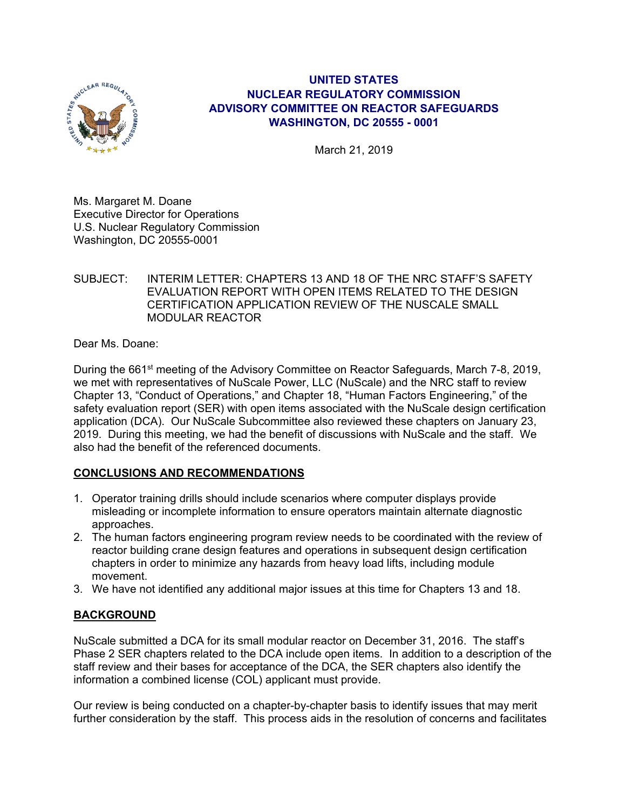

## **UNITED STATES NUCLEAR REGULATORY COMMISSION ADVISORY COMMITTEE ON REACTOR SAFEGUARDS WASHINGTON, DC 20555 - 0001**

March 21, 2019

Ms. Margaret M. Doane Executive Director for Operations U.S. Nuclear Regulatory Commission Washington, DC 20555-0001

SUBJECT: INTERIM LETTER: CHAPTERS 13 AND 18 OF THE NRC STAFF'S SAFETY EVALUATION REPORT WITH OPEN ITEMS RELATED TO THE DESIGN CERTIFICATION APPLICATION REVIEW OF THE NUSCALE SMALL MODULAR REACTOR

Dear Ms. Doane:

During the 661<sup>st</sup> meeting of the Advisory Committee on Reactor Safeguards, March 7-8, 2019, we met with representatives of NuScale Power, LLC (NuScale) and the NRC staff to review Chapter 13, "Conduct of Operations," and Chapter 18, "Human Factors Engineering," of the safety evaluation report (SER) with open items associated with the NuScale design certification application (DCA). Our NuScale Subcommittee also reviewed these chapters on January 23, 2019. During this meeting, we had the benefit of discussions with NuScale and the staff. We also had the benefit of the referenced documents.

# **CONCLUSIONS AND RECOMMENDATIONS**

- 1. Operator training drills should include scenarios where computer displays provide misleading or incomplete information to ensure operators maintain alternate diagnostic approaches.
- 2. The human factors engineering program review needs to be coordinated with the review of reactor building crane design features and operations in subsequent design certification chapters in order to minimize any hazards from heavy load lifts, including module movement.
- 3. We have not identified any additional major issues at this time for Chapters 13 and 18.

# **BACKGROUND**

NuScale submitted a DCA for its small modular reactor on December 31, 2016. The staff's Phase 2 SER chapters related to the DCA include open items. In addition to a description of the staff review and their bases for acceptance of the DCA, the SER chapters also identify the information a combined license (COL) applicant must provide.

Our review is being conducted on a chapter-by-chapter basis to identify issues that may merit further consideration by the staff. This process aids in the resolution of concerns and facilitates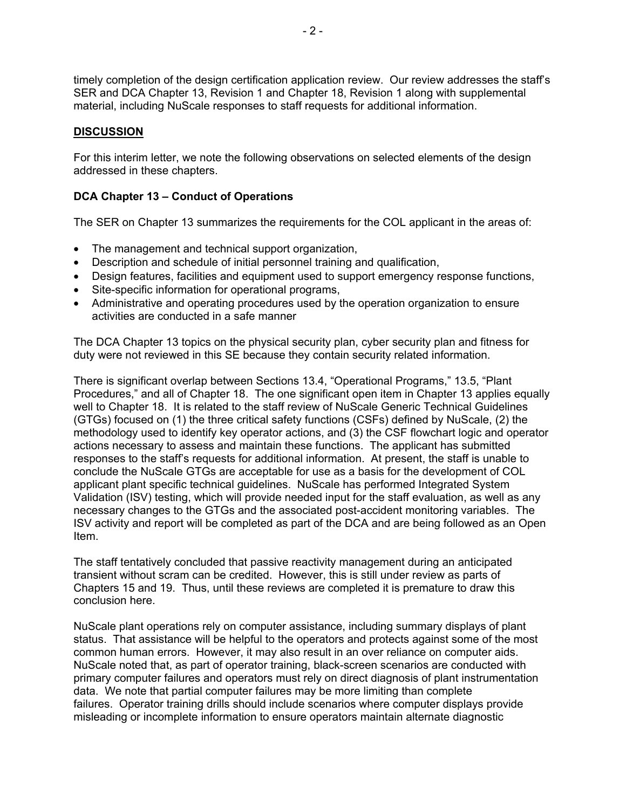timely completion of the design certification application review. Our review addresses the staff's SER and DCA Chapter 13, Revision 1 and Chapter 18, Revision 1 along with supplemental material, including NuScale responses to staff requests for additional information.

### **DISCUSSION**

For this interim letter, we note the following observations on selected elements of the design addressed in these chapters.

### **DCA Chapter 13 – Conduct of Operations**

The SER on Chapter 13 summarizes the requirements for the COL applicant in the areas of:

- The management and technical support organization,
- Description and schedule of initial personnel training and qualification,
- Design features, facilities and equipment used to support emergency response functions,
- Site-specific information for operational programs,
- Administrative and operating procedures used by the operation organization to ensure activities are conducted in a safe manner

The DCA Chapter 13 topics on the physical security plan, cyber security plan and fitness for duty were not reviewed in this SE because they contain security related information.

There is significant overlap between Sections 13.4, "Operational Programs," 13.5, "Plant Procedures," and all of Chapter 18. The one significant open item in Chapter 13 applies equally well to Chapter 18. It is related to the staff review of NuScale Generic Technical Guidelines (GTGs) focused on (1) the three critical safety functions (CSFs) defined by NuScale, (2) the methodology used to identify key operator actions, and (3) the CSF flowchart logic and operator actions necessary to assess and maintain these functions. The applicant has submitted responses to the staff's requests for additional information. At present, the staff is unable to conclude the NuScale GTGs are acceptable for use as a basis for the development of COL applicant plant specific technical guidelines. NuScale has performed Integrated System Validation (ISV) testing, which will provide needed input for the staff evaluation, as well as any necessary changes to the GTGs and the associated post-accident monitoring variables. The ISV activity and report will be completed as part of the DCA and are being followed as an Open Item.

The staff tentatively concluded that passive reactivity management during an anticipated transient without scram can be credited. However, this is still under review as parts of Chapters 15 and 19. Thus, until these reviews are completed it is premature to draw this conclusion here.

NuScale plant operations rely on computer assistance, including summary displays of plant status. That assistance will be helpful to the operators and protects against some of the most common human errors. However, it may also result in an over reliance on computer aids. NuScale noted that, as part of operator training, black-screen scenarios are conducted with primary computer failures and operators must rely on direct diagnosis of plant instrumentation data. We note that partial computer failures may be more limiting than complete failures. Operator training drills should include scenarios where computer displays provide misleading or incomplete information to ensure operators maintain alternate diagnostic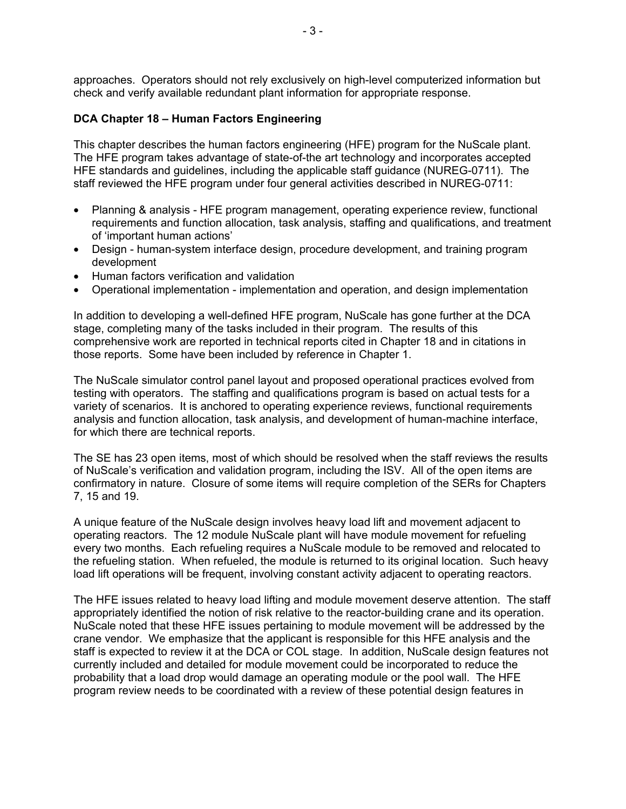approaches. Operators should not rely exclusively on high-level computerized information but check and verify available redundant plant information for appropriate response.

#### **DCA Chapter 18 – Human Factors Engineering**

This chapter describes the human factors engineering (HFE) program for the NuScale plant. The HFE program takes advantage of state-of-the art technology and incorporates accepted HFE standards and guidelines, including the applicable staff guidance (NUREG-0711). The staff reviewed the HFE program under four general activities described in NUREG-0711:

- Planning & analysis HFE program management, operating experience review, functional requirements and function allocation, task analysis, staffing and qualifications, and treatment of 'important human actions'
- Design human-system interface design, procedure development, and training program development
- Human factors verification and validation
- Operational implementation implementation and operation, and design implementation

In addition to developing a well-defined HFE program, NuScale has gone further at the DCA stage, completing many of the tasks included in their program. The results of this comprehensive work are reported in technical reports cited in Chapter 18 and in citations in those reports. Some have been included by reference in Chapter 1.

The NuScale simulator control panel layout and proposed operational practices evolved from testing with operators. The staffing and qualifications program is based on actual tests for a variety of scenarios. It is anchored to operating experience reviews, functional requirements analysis and function allocation, task analysis, and development of human-machine interface, for which there are technical reports.

The SE has 23 open items, most of which should be resolved when the staff reviews the results of NuScale's verification and validation program, including the ISV. All of the open items are confirmatory in nature. Closure of some items will require completion of the SERs for Chapters 7, 15 and 19.

A unique feature of the NuScale design involves heavy load lift and movement adjacent to operating reactors. The 12 module NuScale plant will have module movement for refueling every two months. Each refueling requires a NuScale module to be removed and relocated to the refueling station. When refueled, the module is returned to its original location. Such heavy load lift operations will be frequent, involving constant activity adjacent to operating reactors.

The HFE issues related to heavy load lifting and module movement deserve attention. The staff appropriately identified the notion of risk relative to the reactor-building crane and its operation. NuScale noted that these HFE issues pertaining to module movement will be addressed by the crane vendor. We emphasize that the applicant is responsible for this HFE analysis and the staff is expected to review it at the DCA or COL stage. In addition, NuScale design features not currently included and detailed for module movement could be incorporated to reduce the probability that a load drop would damage an operating module or the pool wall. The HFE program review needs to be coordinated with a review of these potential design features in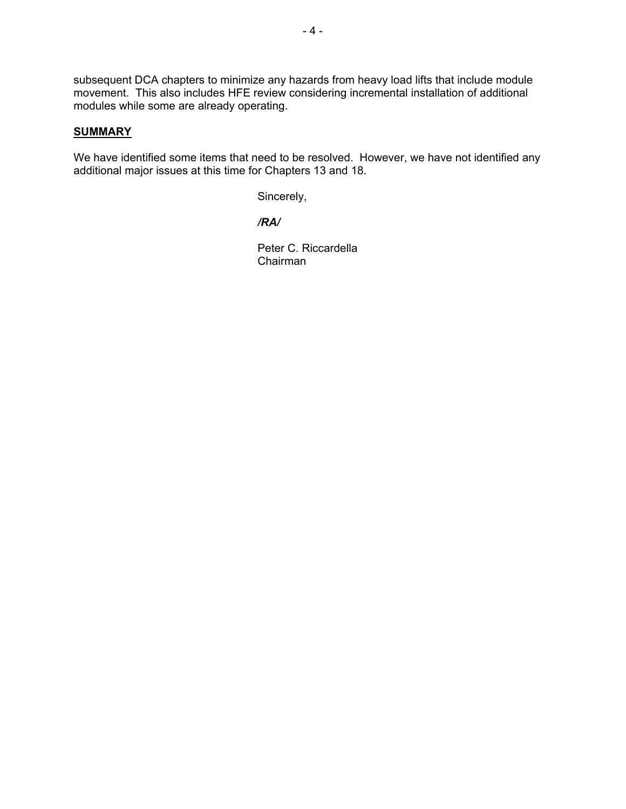subsequent DCA chapters to minimize any hazards from heavy load lifts that include module movement. This also includes HFE review considering incremental installation of additional modules while some are already operating.

#### **SUMMARY**

We have identified some items that need to be resolved. However, we have not identified any additional major issues at this time for Chapters 13 and 18.

Sincerely,

*/RA/* 

Peter C. Riccardella Chairman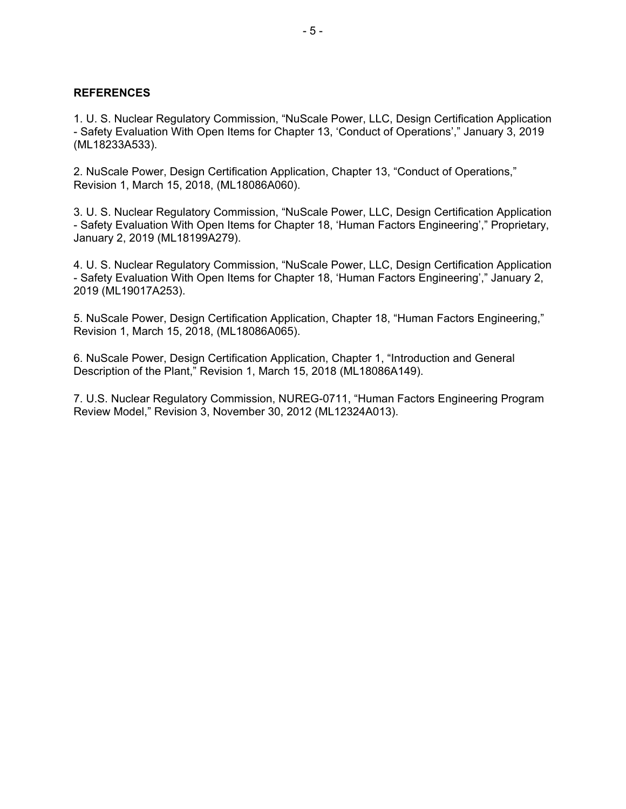#### **REFERENCES**

1. U. S. Nuclear Regulatory Commission, "NuScale Power, LLC, Design Certification Application - Safety Evaluation With Open Items for Chapter 13, 'Conduct of Operations'," January 3, 2019 (ML18233A533).

2. NuScale Power, Design Certification Application, Chapter 13, "Conduct of Operations," Revision 1, March 15, 2018, (ML18086A060).

3. U. S. Nuclear Regulatory Commission, "NuScale Power, LLC, Design Certification Application - Safety Evaluation With Open Items for Chapter 18, 'Human Factors Engineering'," Proprietary, January 2, 2019 (ML18199A279).

4. U. S. Nuclear Regulatory Commission, "NuScale Power, LLC, Design Certification Application - Safety Evaluation With Open Items for Chapter 18, 'Human Factors Engineering'," January 2, 2019 (ML19017A253).

5. NuScale Power, Design Certification Application, Chapter 18, "Human Factors Engineering," Revision 1, March 15, 2018, (ML18086A065).

6. NuScale Power, Design Certification Application, Chapter 1, "Introduction and General Description of the Plant," Revision 1, March 15, 2018 (ML18086A149).

7. U.S. Nuclear Regulatory Commission, NUREG-0711, "Human Factors Engineering Program Review Model," Revision 3, November 30, 2012 (ML12324A013).